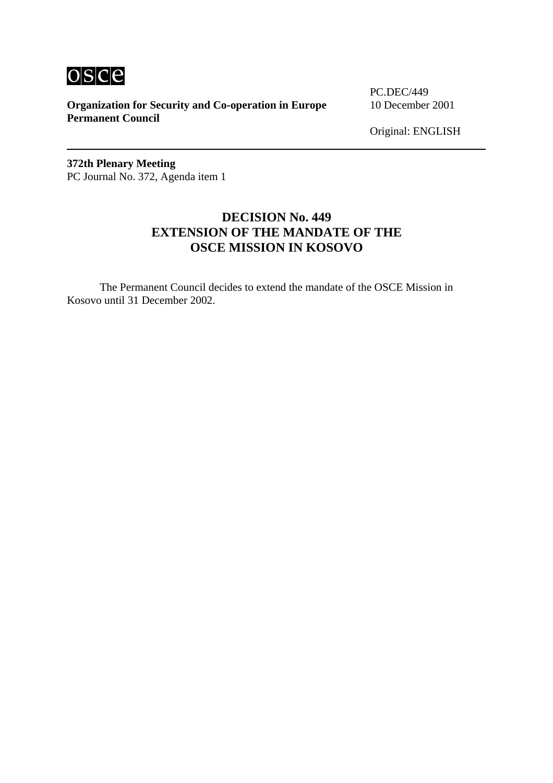

**Organization for Security and Co-operation in Europe** 10 December 2001 **Permanent Council** 

PC.DEC/449

Original: ENGLISH

**372th Plenary Meeting**  PC Journal No. 372, Agenda item 1

## **DECISION No. 449 EXTENSION OF THE MANDATE OF THE OSCE MISSION IN KOSOVO**

The Permanent Council decides to extend the mandate of the OSCE Mission in Kosovo until 31 December 2002.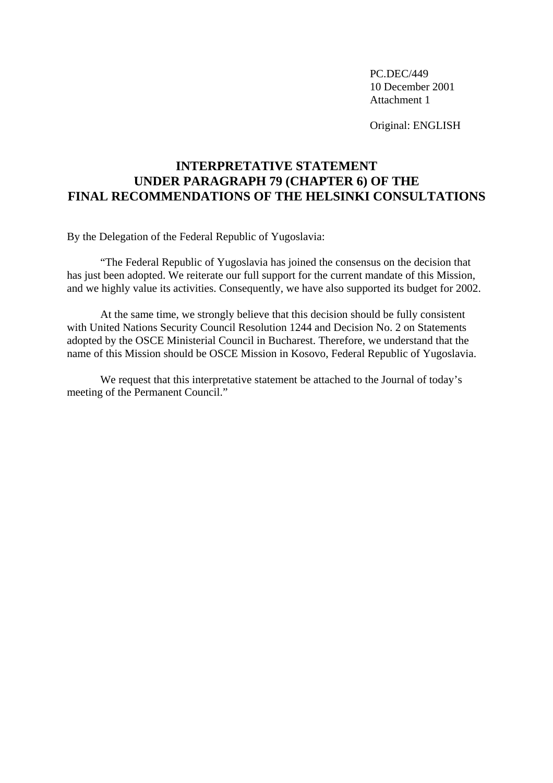PC.DEC/449 10 December 2001 Attachment 1

Original: ENGLISH

## **INTERPRETATIVE STATEMENT UNDER PARAGRAPH 79 (CHAPTER 6) OF THE FINAL RECOMMENDATIONS OF THE HELSINKI CONSULTATIONS**

By the Delegation of the Federal Republic of Yugoslavia:

"The Federal Republic of Yugoslavia has joined the consensus on the decision that has just been adopted. We reiterate our full support for the current mandate of this Mission, and we highly value its activities. Consequently, we have also supported its budget for 2002.

At the same time, we strongly believe that this decision should be fully consistent with United Nations Security Council Resolution 1244 and Decision No. 2 on Statements adopted by the OSCE Ministerial Council in Bucharest. Therefore, we understand that the name of this Mission should be OSCE Mission in Kosovo, Federal Republic of Yugoslavia.

We request that this interpretative statement be attached to the Journal of today's meeting of the Permanent Council."